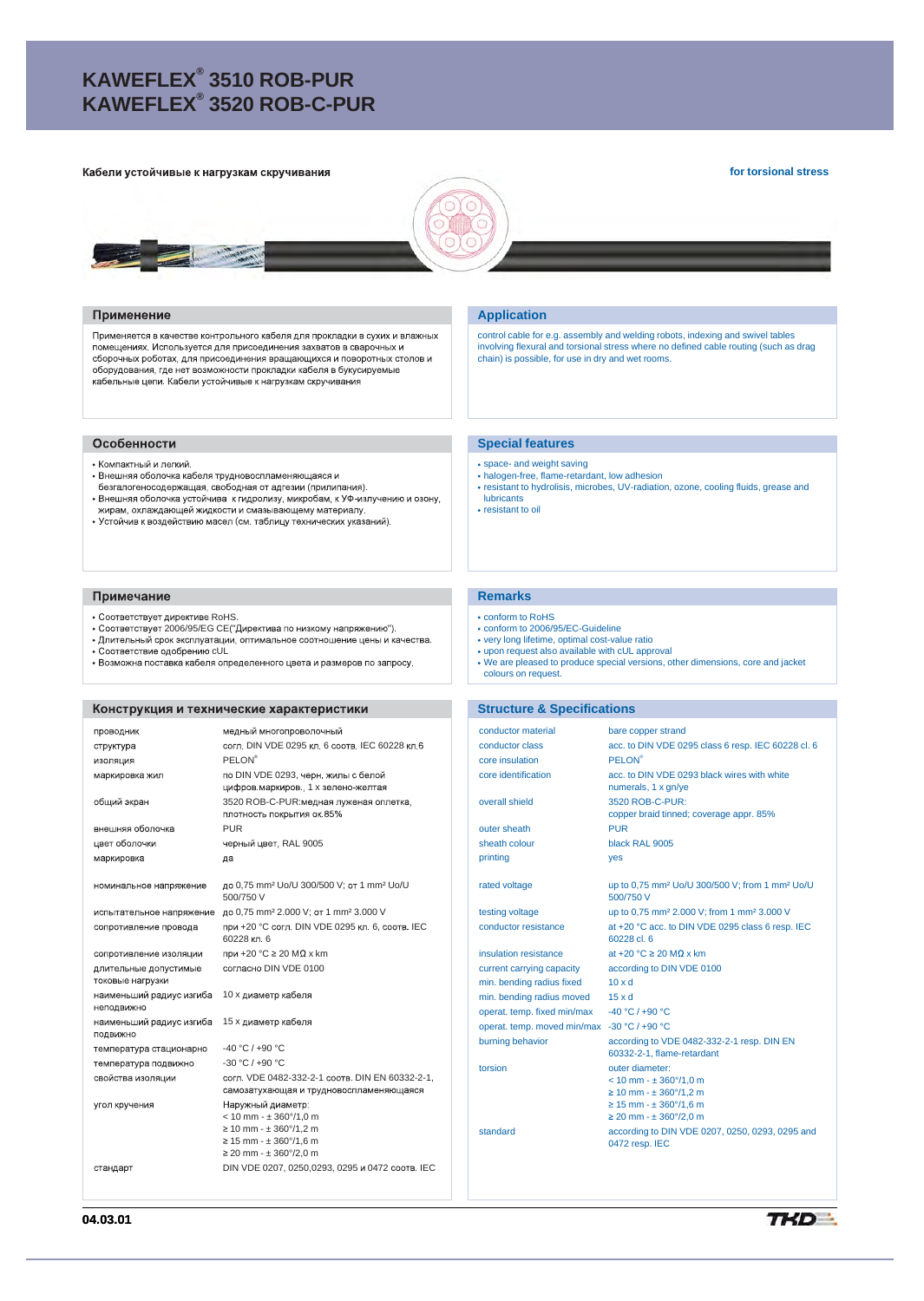# **KAWEFLEX® 3510 ROB-PUR KAWEFLEX® 3520 ROB-C-PUR**

#### Кабели устойчивые к нагрузкам скручивания

**for torsional stress**



#### Применение

Применяется в качестве контрольного кабеля для прокладки в сухих и влажных помещениях. Используется для присоединения захватов в сварочных и - сооронных россиях, для присоединения вращающихся и поворотных столов и<br>сборочных роботах, для присоединения вращающихся и поворотных столов и<br>оборудования, где нет возможности прокладки кабеля в букусируемые кабельные цепи. Кабели устойчивые к нагрузкам скручивания

#### Особенности

- Компактный и легкий.
- Внешняя оболочка кабеля трудновоспламеняющаяся и
- безгалогеносодержащая, свободная от адгезии (прилипания).<br>• Внешняя оболочка устойчива к гидролизу, микробам, к УФ-излучению и озону,
- ислами от составляет поставления и смальвающему материалу.<br>- жирам, охлаждающей жидкости и смазывающему материалу.<br>- Устойчив к воздействию масел (см. таблицу технических указаний).

#### Примечание

- Соответствует директиве RoHS.
- Соответствует 2006/95/EG CE("Директива по низкому напряжению").
- Длительный срок эксплуатации, оптимальное соотношение цены и качества.<br>• Соответствие одобрению cUL<br>• Возможна поставка кабеля определенного цвета и размеров по запросу.
- 
- 

# Конструкция и технические характеристики

| проводник                                 | медный многопроволочный                                                                                                                                                  |
|-------------------------------------------|--------------------------------------------------------------------------------------------------------------------------------------------------------------------------|
| структура                                 | согл. DIN VDE 0295 кл. 6 соотв. IEC 60228 кл. 6                                                                                                                          |
| изоляция                                  | <b>PELON®</b>                                                                                                                                                            |
| маркировка жил                            | по DIN VDE 0293, черн. жилы с белой<br>цифров маркиров, 1 х зелено-желтая                                                                                                |
| общий экран                               | 3520 ROB-C-PUR: медная луженая оплетка.<br>плотность покрытия ок 85%                                                                                                     |
| внешняя оболочка                          | <b>PUR</b>                                                                                                                                                               |
| цвет оболочки                             | черный цвет, RAL 9005                                                                                                                                                    |
| маркировка                                | да                                                                                                                                                                       |
| номинальное напряжение                    | до 0,75 mm <sup>2</sup> Uo/U 300/500 V; от 1 mm <sup>2</sup> Uo/U<br>500/750 V                                                                                           |
| испытательное напряжение                  | до 0,75 mm <sup>2</sup> 2.000 V; от 1 mm <sup>2</sup> 3.000 V                                                                                                            |
| сопротивление провода                     | при +20 °С согл. DIN VDE 0295 кл. 6, соотв. IEC<br>60228 кл. 6                                                                                                           |
| сопротивление изоляции                    | при +20 °С ≥ 20 М $\Omega$ х km                                                                                                                                          |
| длительные допустимые<br>токовые нагрузки | согласно DIN VDE 0100                                                                                                                                                    |
| наименьший радиус изгиба<br>неподвижно    | 10 х диаметр кабеля                                                                                                                                                      |
| наименьший радиус изгиба<br>ПОДВИЖНО      | 15 х диаметр кабеля                                                                                                                                                      |
| температура стационарно                   | $-40 °C / +90 °C$                                                                                                                                                        |
| температура подвижно                      | $-30 °C / +90 °C$                                                                                                                                                        |
| свойства изоляции                         | согл. VDE 0482-332-2-1 соотв. DIN EN 60332-2-1,<br>самозатухающая и трудновоспламеняющаяся                                                                               |
| угол кручения                             | Наружный диаметр:<br>$< 10$ mm $- \pm 360^{\circ}/1.0$ m<br>$\geq 10$ mm - $\pm 360^{\circ}/1,2$ m<br>$\geq$ 15 mm - $\pm$ 360°/1,6 m<br>$\geq$ 20 mm - $\pm$ 360°/2,0 m |
| стандарт                                  | DIN VDE 0207, 0250,0293, 0295 и 0472 соотв. IEC                                                                                                                          |

### **Application**

control cable for e.g. assembly and welding robots, indexing and swivel tables<br>involving flexural and torsional stress where no defined cable routing (such as drag<br>chain) is possible, for use in dry and wet rooms.

#### **Special features**

- space- and weight saving
- 
- halogen-free, flame-retardant, low adhesion resistant to hydrolisis, microbes, UV-radiation, ozone, cooling fluids, grease and lubricants
- resistant to oil

# **Remarks**

- conform to RoHS
- conform to 2006/95/EC-Guideline
- very long lifetime, optimal cost-value ratio upon request also available with cUL approval
- 
- We are pleased to produce special versions, other dimensions, core and jacket colours on request.

#### **Structure & Specifications**

| conductor material                          | bare copper strand                                                                                                                                                        |
|---------------------------------------------|---------------------------------------------------------------------------------------------------------------------------------------------------------------------------|
| conductor class                             | acc. to DIN VDE 0295 class 6 resp. IEC 60228 cl. 6                                                                                                                        |
| core insulation                             | PFI ON®                                                                                                                                                                   |
| core identification                         | acc. to DIN VDE 0293 black wires with white<br>numerals, 1 x gn/ye                                                                                                        |
| overall shield                              | 3520 ROB-C-PUR:<br>copper braid tinned; coverage appr. 85%                                                                                                                |
| outer sheath                                | <b>PUR</b>                                                                                                                                                                |
| sheath colour                               | black RAL 9005                                                                                                                                                            |
| printing                                    | yes                                                                                                                                                                       |
| rated voltage                               | up to 0,75 mm <sup>2</sup> Uo/U 300/500 V; from 1 mm <sup>2</sup> Uo/U<br>500/750 V                                                                                       |
| testing voltage                             | up to 0,75 mm <sup>2</sup> 2.000 V; from 1 mm <sup>2</sup> 3.000 V                                                                                                        |
| conductor resistance                        | at +20 °C acc. to DIN VDE 0295 class 6 resp. IEC<br>60228 cl 6                                                                                                            |
| insulation resistance                       | at +20 $^{\circ}$ C $\geq$ 20 MQ x km                                                                                                                                     |
| current carrying capacity                   | according to DIN VDE 0100                                                                                                                                                 |
| min. bending radius fixed                   | $10 \times d$                                                                                                                                                             |
| min. bending radius moved                   | $15 \times d$                                                                                                                                                             |
| operat, temp, fixed min/max                 | -40 °C / +90 °C                                                                                                                                                           |
| operat. temp. moved min/max -30 °C / +90 °C |                                                                                                                                                                           |
| burning behavior                            | according to VDE 0482-332-2-1 resp. DIN EN<br>60332-2-1, flame-retardant                                                                                                  |
| torsion                                     | outer diameter:<br>$< 10$ mm $- \pm 360^{\circ}/1.0$ m<br>$\geq$ 10 mm - $\pm$ 360°/1.2 m<br>$\geq$ 15 mm - $\pm$ 360°/1,6 m<br>$\geq$ 20 mm - $\pm$ 360 $\degree$ /2,0 m |
| standard                                    | according to DIN VDE 0207, 0250, 0293, 0295 and<br>0472 resp. IEC                                                                                                         |
|                                             |                                                                                                                                                                           |